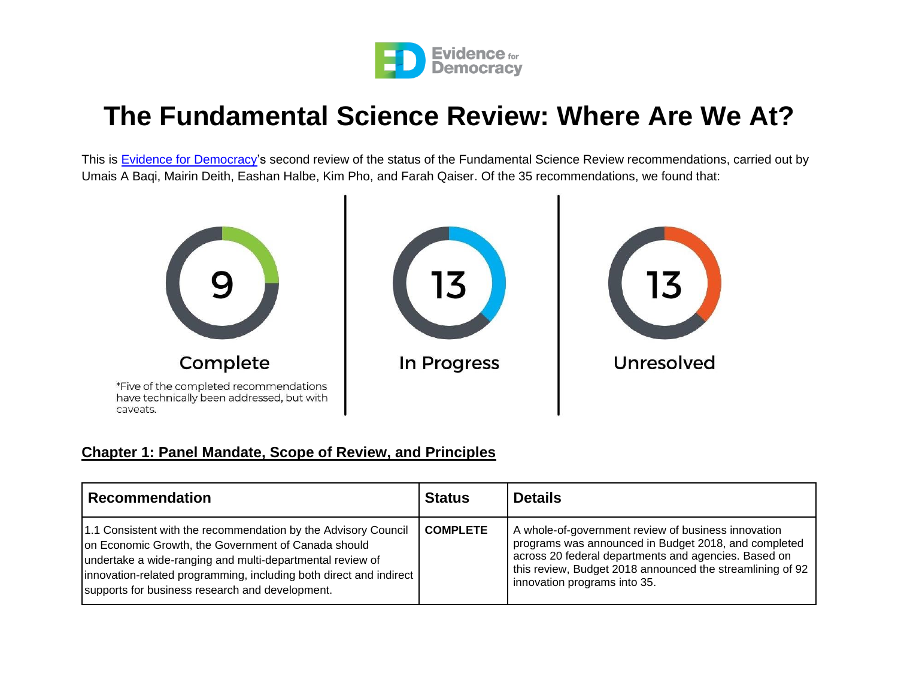

# **The Fundamental Science Review: Where Are We At?**

This is [Evidence for](https://evidencefordemocracy.ca/en) Democracy's second review of the status of the Fundamental Science Review recommendations, carried out by Umais A Baqi, Mairin Deith, Eashan Halbe, Kim Pho, and Farah Qaiser. Of the 35 recommendations, we found that:



#### **Chapter 1: Panel Mandate, Scope of Review, and Principles**

| <b>Recommendation</b>                                                                                                                                                                                                                                                                                       | <b>Status</b>   | <b>Details</b>                                                                                                                                                                                                                                                   |
|-------------------------------------------------------------------------------------------------------------------------------------------------------------------------------------------------------------------------------------------------------------------------------------------------------------|-----------------|------------------------------------------------------------------------------------------------------------------------------------------------------------------------------------------------------------------------------------------------------------------|
| 1.1 Consistent with the recommendation by the Advisory Council<br>on Economic Growth, the Government of Canada should<br>undertake a wide-ranging and multi-departmental review of<br>innovation-related programming, including both direct and indirect<br>supports for business research and development. | <b>COMPLETE</b> | A whole-of-government review of business innovation<br>programs was announced in Budget 2018, and completed<br>across 20 federal departments and agencies. Based on<br>this review, Budget 2018 announced the streamlining of 92<br>innovation programs into 35. |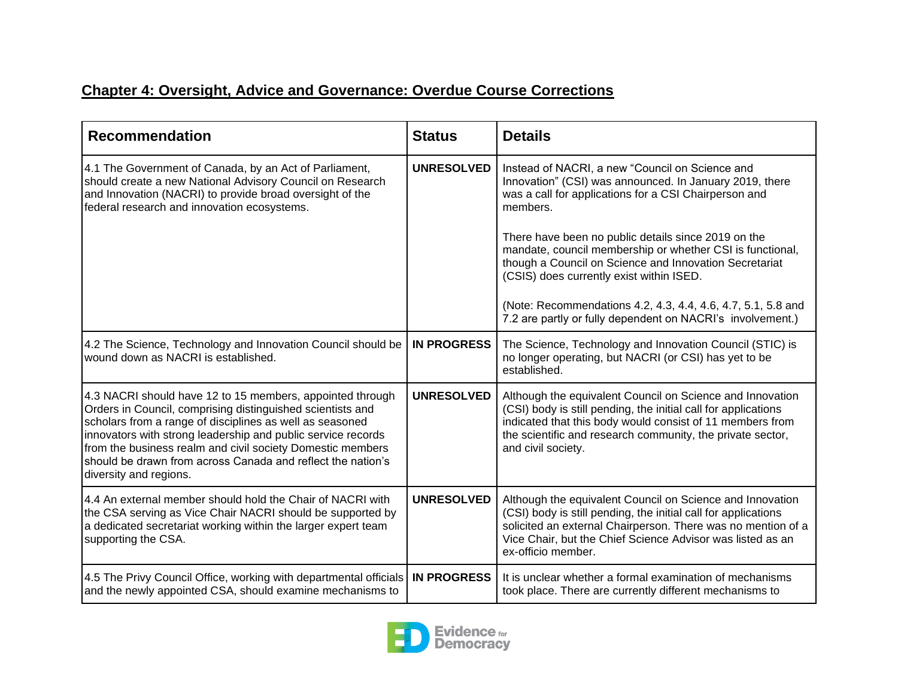#### **Chapter 4: Oversight, Advice and Governance: Overdue Course Corrections**

| <b>Recommendation</b>                                                                                                                                                                                                                                                                                                                                                                                      | <b>Status</b>      | <b>Details</b>                                                                                                                                                                                                                                                                  |
|------------------------------------------------------------------------------------------------------------------------------------------------------------------------------------------------------------------------------------------------------------------------------------------------------------------------------------------------------------------------------------------------------------|--------------------|---------------------------------------------------------------------------------------------------------------------------------------------------------------------------------------------------------------------------------------------------------------------------------|
| 4.1 The Government of Canada, by an Act of Parliament,<br>should create a new National Advisory Council on Research<br>and Innovation (NACRI) to provide broad oversight of the<br>federal research and innovation ecosystems.                                                                                                                                                                             | <b>UNRESOLVED</b>  | Instead of NACRI, a new "Council on Science and<br>Innovation" (CSI) was announced. In January 2019, there<br>was a call for applications for a CSI Chairperson and<br>members.                                                                                                 |
|                                                                                                                                                                                                                                                                                                                                                                                                            |                    | There have been no public details since 2019 on the<br>mandate, council membership or whether CSI is functional,<br>though a Council on Science and Innovation Secretariat<br>(CSIS) does currently exist within ISED.                                                          |
|                                                                                                                                                                                                                                                                                                                                                                                                            |                    | (Note: Recommendations 4.2, 4.3, 4.4, 4.6, 4.7, 5.1, 5.8 and<br>7.2 are partly or fully dependent on NACRI's involvement.)                                                                                                                                                      |
| 4.2 The Science, Technology and Innovation Council should be<br>wound down as NACRI is established.                                                                                                                                                                                                                                                                                                        | <b>IN PROGRESS</b> | The Science, Technology and Innovation Council (STIC) is<br>no longer operating, but NACRI (or CSI) has yet to be<br>established.                                                                                                                                               |
| 4.3 NACRI should have 12 to 15 members, appointed through<br>Orders in Council, comprising distinguished scientists and<br>scholars from a range of disciplines as well as seasoned<br>innovators with strong leadership and public service records<br>from the business realm and civil society Domestic members<br>should be drawn from across Canada and reflect the nation's<br>diversity and regions. | <b>UNRESOLVED</b>  | Although the equivalent Council on Science and Innovation<br>(CSI) body is still pending, the initial call for applications<br>indicated that this body would consist of 11 members from<br>the scientific and research community, the private sector,<br>and civil society.    |
| 4.4 An external member should hold the Chair of NACRI with<br>the CSA serving as Vice Chair NACRI should be supported by<br>a dedicated secretariat working within the larger expert team<br>supporting the CSA.                                                                                                                                                                                           | <b>UNRESOLVED</b>  | Although the equivalent Council on Science and Innovation<br>(CSI) body is still pending, the initial call for applications<br>solicited an external Chairperson. There was no mention of a<br>Vice Chair, but the Chief Science Advisor was listed as an<br>ex-officio member. |
| 4.5 The Privy Council Office, working with departmental officials<br>and the newly appointed CSA, should examine mechanisms to                                                                                                                                                                                                                                                                             | <b>IN PROGRESS</b> | It is unclear whether a formal examination of mechanisms<br>took place. There are currently different mechanisms to                                                                                                                                                             |

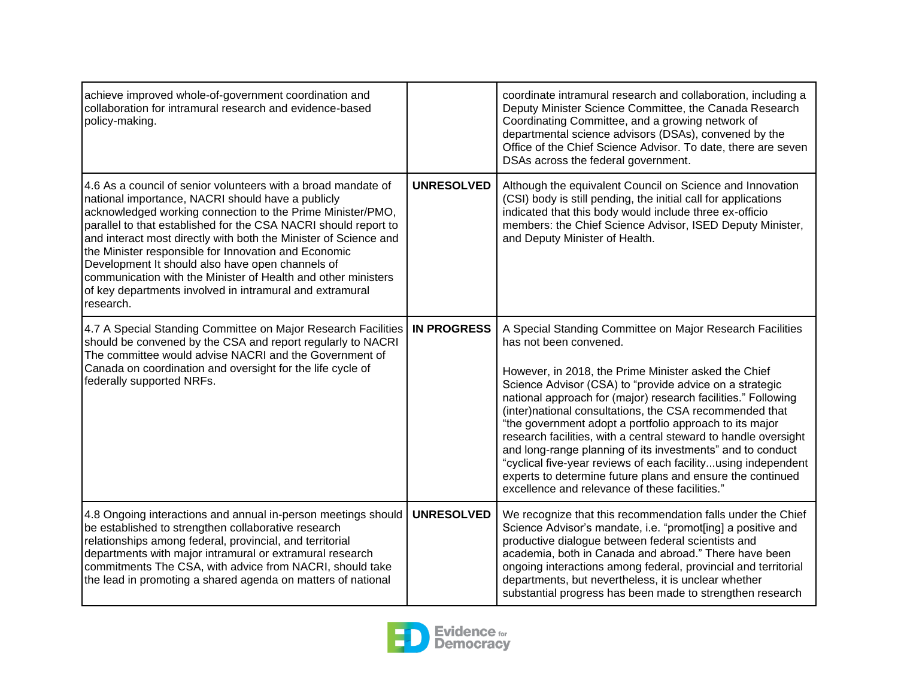| achieve improved whole-of-government coordination and<br>collaboration for intramural research and evidence-based<br>policy-making.                                                                                                                                                                                                                                                                                                                                                                                                                                           |                    | coordinate intramural research and collaboration, including a<br>Deputy Minister Science Committee, the Canada Research<br>Coordinating Committee, and a growing network of<br>departmental science advisors (DSAs), convened by the<br>Office of the Chief Science Advisor. To date, there are seven<br>DSAs across the federal government.                                                                                                                                                                                                                                                                                                                                                                    |
|-------------------------------------------------------------------------------------------------------------------------------------------------------------------------------------------------------------------------------------------------------------------------------------------------------------------------------------------------------------------------------------------------------------------------------------------------------------------------------------------------------------------------------------------------------------------------------|--------------------|-----------------------------------------------------------------------------------------------------------------------------------------------------------------------------------------------------------------------------------------------------------------------------------------------------------------------------------------------------------------------------------------------------------------------------------------------------------------------------------------------------------------------------------------------------------------------------------------------------------------------------------------------------------------------------------------------------------------|
| 4.6 As a council of senior volunteers with a broad mandate of<br>national importance, NACRI should have a publicly<br>acknowledged working connection to the Prime Minister/PMO,<br>parallel to that established for the CSA NACRI should report to<br>and interact most directly with both the Minister of Science and<br>the Minister responsible for Innovation and Economic<br>Development It should also have open channels of<br>communication with the Minister of Health and other ministers<br>of key departments involved in intramural and extramural<br>research. | <b>UNRESOLVED</b>  | Although the equivalent Council on Science and Innovation<br>(CSI) body is still pending, the initial call for applications<br>indicated that this body would include three ex-officio<br>members: the Chief Science Advisor, ISED Deputy Minister,<br>and Deputy Minister of Health.                                                                                                                                                                                                                                                                                                                                                                                                                           |
| 4.7 A Special Standing Committee on Major Research Facilities<br>should be convened by the CSA and report regularly to NACRI<br>The committee would advise NACRI and the Government of<br>Canada on coordination and oversight for the life cycle of<br>federally supported NRFs.                                                                                                                                                                                                                                                                                             | <b>IN PROGRESS</b> | A Special Standing Committee on Major Research Facilities<br>has not been convened.<br>However, in 2018, the Prime Minister asked the Chief<br>Science Advisor (CSA) to "provide advice on a strategic<br>national approach for (major) research facilities." Following<br>(inter)national consultations, the CSA recommended that<br>"the government adopt a portfolio approach to its major<br>research facilities, with a central steward to handle oversight<br>and long-range planning of its investments" and to conduct<br>"cyclical five-year reviews of each facilityusing independent<br>experts to determine future plans and ensure the continued<br>excellence and relevance of these facilities." |
| 4.8 Ongoing interactions and annual in-person meetings should<br>be established to strengthen collaborative research<br>relationships among federal, provincial, and territorial<br>departments with major intramural or extramural research<br>commitments The CSA, with advice from NACRI, should take<br>the lead in promoting a shared agenda on matters of national                                                                                                                                                                                                      | <b>UNRESOLVED</b>  | We recognize that this recommendation falls under the Chief<br>Science Advisor's mandate, i.e. "promot[ing] a positive and<br>productive dialogue between federal scientists and<br>academia, both in Canada and abroad." There have been<br>ongoing interactions among federal, provincial and territorial<br>departments, but nevertheless, it is unclear whether<br>substantial progress has been made to strengthen research                                                                                                                                                                                                                                                                                |

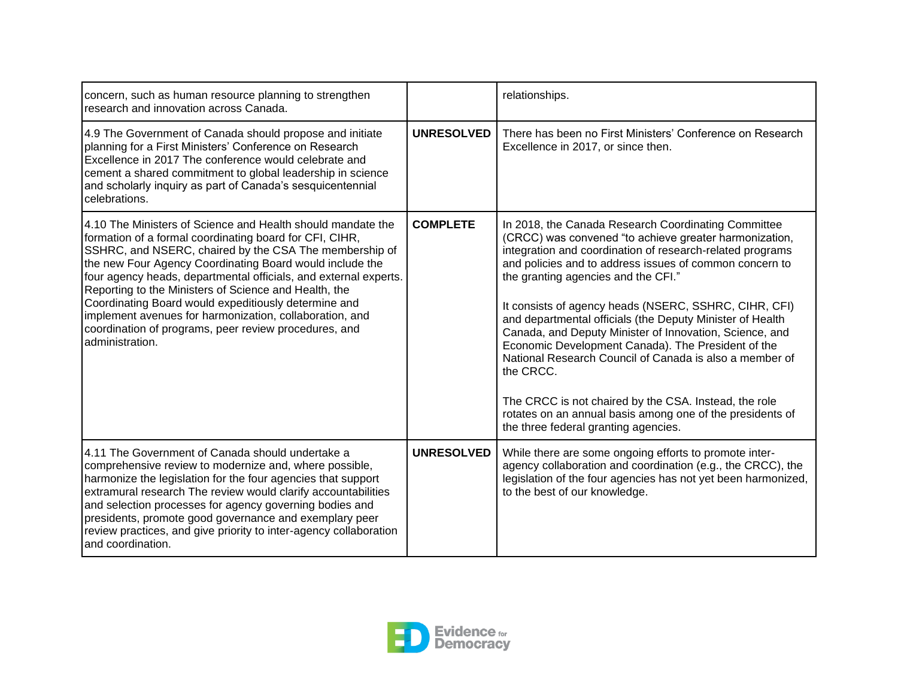| concern, such as human resource planning to strengthen<br>research and innovation across Canada.                                                                                                                                                                                                                                                                                                                                                                                                                                                                          |                   | relationships.                                                                                                                                                                                                                                                                                                                                                                                                                                                                                                                                                                                                                                                                                                                                            |
|---------------------------------------------------------------------------------------------------------------------------------------------------------------------------------------------------------------------------------------------------------------------------------------------------------------------------------------------------------------------------------------------------------------------------------------------------------------------------------------------------------------------------------------------------------------------------|-------------------|-----------------------------------------------------------------------------------------------------------------------------------------------------------------------------------------------------------------------------------------------------------------------------------------------------------------------------------------------------------------------------------------------------------------------------------------------------------------------------------------------------------------------------------------------------------------------------------------------------------------------------------------------------------------------------------------------------------------------------------------------------------|
| 4.9 The Government of Canada should propose and initiate<br>planning for a First Ministers' Conference on Research<br>Excellence in 2017 The conference would celebrate and<br>cement a shared commitment to global leadership in science<br>and scholarly inquiry as part of Canada's sesquicentennial<br>celebrations.                                                                                                                                                                                                                                                  | <b>UNRESOLVED</b> | There has been no First Ministers' Conference on Research<br>Excellence in 2017, or since then.                                                                                                                                                                                                                                                                                                                                                                                                                                                                                                                                                                                                                                                           |
| 14.10 The Ministers of Science and Health should mandate the<br>formation of a formal coordinating board for CFI, CIHR,<br>SSHRC, and NSERC, chaired by the CSA The membership of<br>the new Four Agency Coordinating Board would include the<br>four agency heads, departmental officials, and external experts.<br>Reporting to the Ministers of Science and Health, the<br>Coordinating Board would expeditiously determine and<br>implement avenues for harmonization, collaboration, and<br>coordination of programs, peer review procedures, and<br>administration. | <b>COMPLETE</b>   | In 2018, the Canada Research Coordinating Committee<br>(CRCC) was convened "to achieve greater harmonization,<br>integration and coordination of research-related programs<br>and policies and to address issues of common concern to<br>the granting agencies and the CFI."<br>It consists of agency heads (NSERC, SSHRC, CIHR, CFI)<br>and departmental officials (the Deputy Minister of Health<br>Canada, and Deputy Minister of Innovation, Science, and<br>Economic Development Canada). The President of the<br>National Research Council of Canada is also a member of<br>the CRCC.<br>The CRCC is not chaired by the CSA. Instead, the role<br>rotates on an annual basis among one of the presidents of<br>the three federal granting agencies. |
| 4.11 The Government of Canada should undertake a<br>comprehensive review to modernize and, where possible,<br>harmonize the legislation for the four agencies that support<br>extramural research The review would clarify accountabilities<br>and selection processes for agency governing bodies and<br>presidents, promote good governance and exemplary peer<br>review practices, and give priority to inter-agency collaboration<br>and coordination.                                                                                                                | <b>UNRESOLVED</b> | While there are some ongoing efforts to promote inter-<br>agency collaboration and coordination (e.g., the CRCC), the<br>legislation of the four agencies has not yet been harmonized,<br>to the best of our knowledge.                                                                                                                                                                                                                                                                                                                                                                                                                                                                                                                                   |

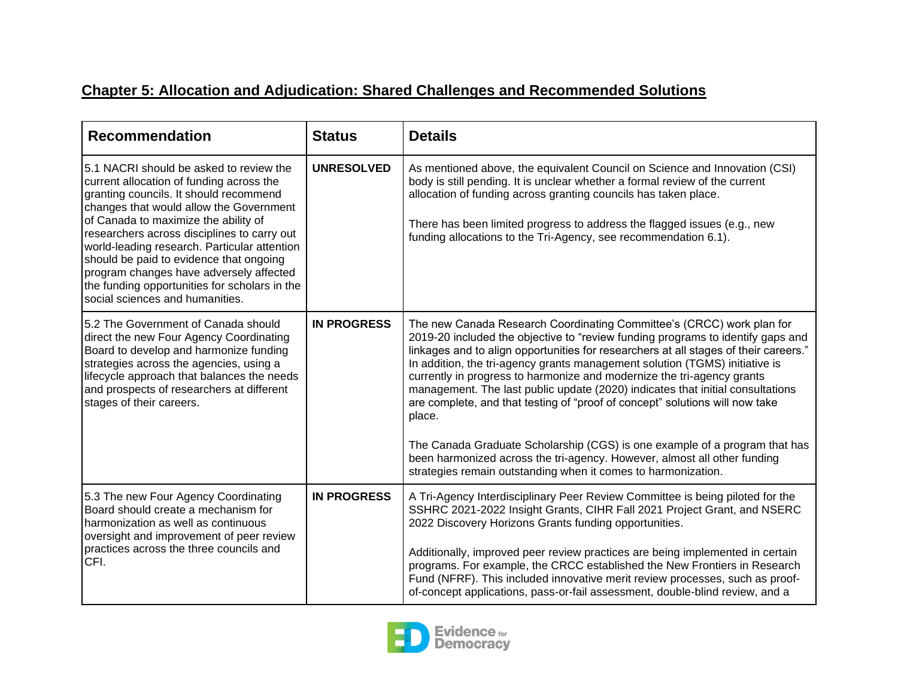## **Chapter 5: Allocation and Adjudication: Shared Challenges and Recommended Solutions**

| <b>Recommendation</b>                                                                                                                                                                                                                                                                                                                                                                                                                                                                     | <b>Status</b>      | <b>Details</b>                                                                                                                                                                                                                                                                                                                                                                                                                                                                                                                                                                                                                                                      |
|-------------------------------------------------------------------------------------------------------------------------------------------------------------------------------------------------------------------------------------------------------------------------------------------------------------------------------------------------------------------------------------------------------------------------------------------------------------------------------------------|--------------------|---------------------------------------------------------------------------------------------------------------------------------------------------------------------------------------------------------------------------------------------------------------------------------------------------------------------------------------------------------------------------------------------------------------------------------------------------------------------------------------------------------------------------------------------------------------------------------------------------------------------------------------------------------------------|
| 5.1 NACRI should be asked to review the<br>current allocation of funding across the<br>granting councils. It should recommend<br>changes that would allow the Government<br>of Canada to maximize the ability of<br>researchers across disciplines to carry out<br>world-leading research. Particular attention<br>should be paid to evidence that ongoing<br>program changes have adversely affected<br>the funding opportunities for scholars in the<br>social sciences and humanities. | <b>UNRESOLVED</b>  | As mentioned above, the equivalent Council on Science and Innovation (CSI)<br>body is still pending. It is unclear whether a formal review of the current<br>allocation of funding across granting councils has taken place.<br>There has been limited progress to address the flagged issues (e.g., new<br>funding allocations to the Tri-Agency, see recommendation 6.1).                                                                                                                                                                                                                                                                                         |
| 5.2 The Government of Canada should<br>direct the new Four Agency Coordinating<br>Board to develop and harmonize funding<br>strategies across the agencies, using a<br>lifecycle approach that balances the needs<br>and prospects of researchers at different<br>stages of their careers.                                                                                                                                                                                                | <b>IN PROGRESS</b> | The new Canada Research Coordinating Committee's (CRCC) work plan for<br>2019-20 included the objective to "review funding programs to identify gaps and<br>linkages and to align opportunities for researchers at all stages of their careers."<br>In addition, the tri-agency grants management solution (TGMS) initiative is<br>currently in progress to harmonize and modernize the tri-agency grants<br>management. The last public update (2020) indicates that initial consultations<br>are complete, and that testing of "proof of concept" solutions will now take<br>place.<br>The Canada Graduate Scholarship (CGS) is one example of a program that has |
|                                                                                                                                                                                                                                                                                                                                                                                                                                                                                           |                    | been harmonized across the tri-agency. However, almost all other funding<br>strategies remain outstanding when it comes to harmonization.                                                                                                                                                                                                                                                                                                                                                                                                                                                                                                                           |
| 5.3 The new Four Agency Coordinating<br>Board should create a mechanism for<br>harmonization as well as continuous<br>oversight and improvement of peer review                                                                                                                                                                                                                                                                                                                            | <b>IN PROGRESS</b> | A Tri-Agency Interdisciplinary Peer Review Committee is being piloted for the<br>SSHRC 2021-2022 Insight Grants, CIHR Fall 2021 Project Grant, and NSERC<br>2022 Discovery Horizons Grants funding opportunities.                                                                                                                                                                                                                                                                                                                                                                                                                                                   |
| practices across the three councils and<br>CFI.                                                                                                                                                                                                                                                                                                                                                                                                                                           |                    | Additionally, improved peer review practices are being implemented in certain<br>programs. For example, the CRCC established the New Frontiers in Research<br>Fund (NFRF). This included innovative merit review processes, such as proof-<br>of-concept applications, pass-or-fail assessment, double-blind review, and a                                                                                                                                                                                                                                                                                                                                          |

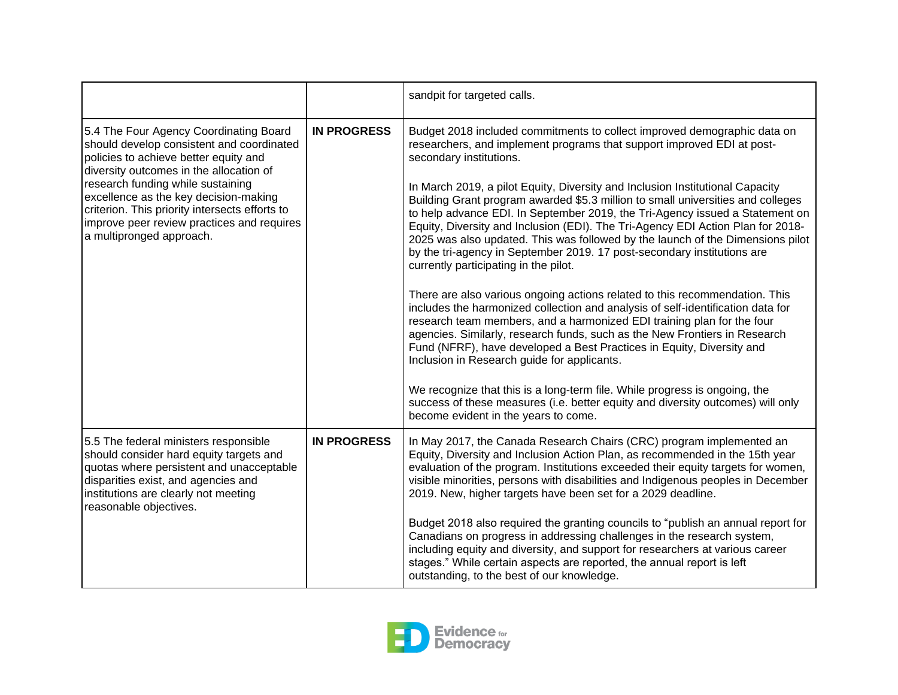|                                                                                                                                                                                                                                                                                                                                                                                   |                    | sandpit for targeted calls.                                                                                                                                                                                                                                                                                                                                                                                                                                                                                                                                                                                                                                                                                                                                                                                                                                                                                                                                                                                                                                                                                                                                                                                                                                                                                                                                                           |
|-----------------------------------------------------------------------------------------------------------------------------------------------------------------------------------------------------------------------------------------------------------------------------------------------------------------------------------------------------------------------------------|--------------------|---------------------------------------------------------------------------------------------------------------------------------------------------------------------------------------------------------------------------------------------------------------------------------------------------------------------------------------------------------------------------------------------------------------------------------------------------------------------------------------------------------------------------------------------------------------------------------------------------------------------------------------------------------------------------------------------------------------------------------------------------------------------------------------------------------------------------------------------------------------------------------------------------------------------------------------------------------------------------------------------------------------------------------------------------------------------------------------------------------------------------------------------------------------------------------------------------------------------------------------------------------------------------------------------------------------------------------------------------------------------------------------|
| 5.4 The Four Agency Coordinating Board<br>should develop consistent and coordinated<br>policies to achieve better equity and<br>diversity outcomes in the allocation of<br>research funding while sustaining<br>excellence as the key decision-making<br>criterion. This priority intersects efforts to<br>improve peer review practices and requires<br>a multipronged approach. | <b>IN PROGRESS</b> | Budget 2018 included commitments to collect improved demographic data on<br>researchers, and implement programs that support improved EDI at post-<br>secondary institutions.<br>In March 2019, a pilot Equity, Diversity and Inclusion Institutional Capacity<br>Building Grant program awarded \$5.3 million to small universities and colleges<br>to help advance EDI. In September 2019, the Tri-Agency issued a Statement on<br>Equity, Diversity and Inclusion (EDI). The Tri-Agency EDI Action Plan for 2018-<br>2025 was also updated. This was followed by the launch of the Dimensions pilot<br>by the tri-agency in September 2019. 17 post-secondary institutions are<br>currently participating in the pilot.<br>There are also various ongoing actions related to this recommendation. This<br>includes the harmonized collection and analysis of self-identification data for<br>research team members, and a harmonized EDI training plan for the four<br>agencies. Similarly, research funds, such as the New Frontiers in Research<br>Fund (NFRF), have developed a Best Practices in Equity, Diversity and<br>Inclusion in Research guide for applicants.<br>We recognize that this is a long-term file. While progress is ongoing, the<br>success of these measures (i.e. better equity and diversity outcomes) will only<br>become evident in the years to come. |
| 5.5 The federal ministers responsible<br>should consider hard equity targets and<br>quotas where persistent and unacceptable<br>disparities exist, and agencies and<br>institutions are clearly not meeting<br>reasonable objectives.                                                                                                                                             | <b>IN PROGRESS</b> | In May 2017, the Canada Research Chairs (CRC) program implemented an<br>Equity, Diversity and Inclusion Action Plan, as recommended in the 15th year<br>evaluation of the program. Institutions exceeded their equity targets for women,<br>visible minorities, persons with disabilities and Indigenous peoples in December<br>2019. New, higher targets have been set for a 2029 deadline.<br>Budget 2018 also required the granting councils to "publish an annual report for<br>Canadians on progress in addressing challenges in the research system,<br>including equity and diversity, and support for researchers at various career<br>stages." While certain aspects are reported, the annual report is left<br>outstanding, to the best of our knowledge.                                                                                                                                                                                                                                                                                                                                                                                                                                                                                                                                                                                                                   |

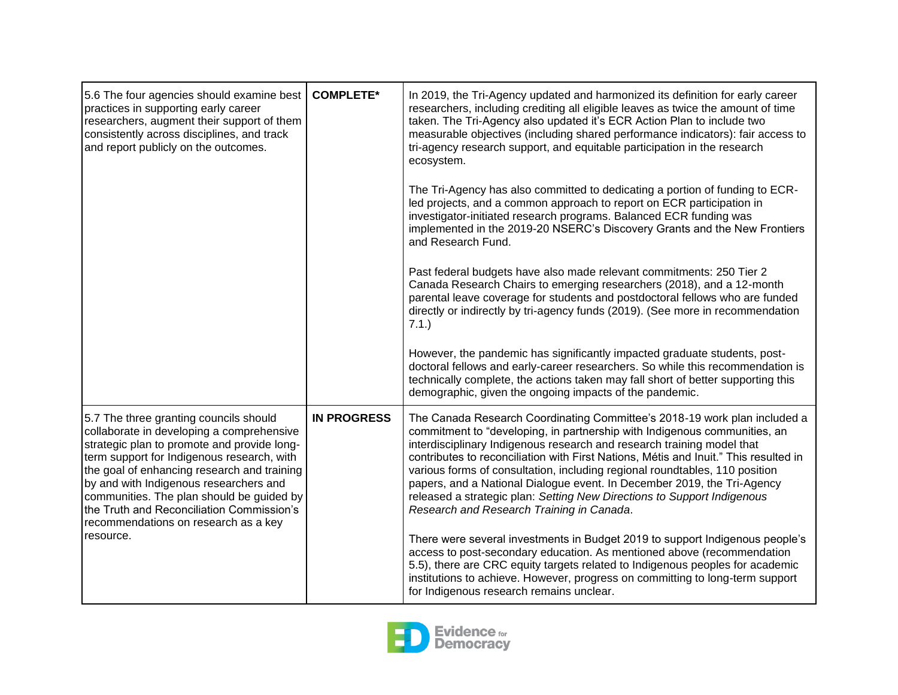| 5.6 The four agencies should examine best<br>practices in supporting early career<br>researchers, augment their support of them<br>consistently across disciplines, and track<br>and report publicly on the outcomes.                                                                                                                                                                                       | <b>COMPLETE*</b>   | In 2019, the Tri-Agency updated and harmonized its definition for early career<br>researchers, including crediting all eligible leaves as twice the amount of time<br>taken. The Tri-Agency also updated it's ECR Action Plan to include two<br>measurable objectives (including shared performance indicators): fair access to<br>tri-agency research support, and equitable participation in the research<br>ecosystem.                                                                                                                                                                                  |
|-------------------------------------------------------------------------------------------------------------------------------------------------------------------------------------------------------------------------------------------------------------------------------------------------------------------------------------------------------------------------------------------------------------|--------------------|------------------------------------------------------------------------------------------------------------------------------------------------------------------------------------------------------------------------------------------------------------------------------------------------------------------------------------------------------------------------------------------------------------------------------------------------------------------------------------------------------------------------------------------------------------------------------------------------------------|
|                                                                                                                                                                                                                                                                                                                                                                                                             |                    | The Tri-Agency has also committed to dedicating a portion of funding to ECR-<br>led projects, and a common approach to report on ECR participation in<br>investigator-initiated research programs. Balanced ECR funding was<br>implemented in the 2019-20 NSERC's Discovery Grants and the New Frontiers<br>and Research Fund.                                                                                                                                                                                                                                                                             |
|                                                                                                                                                                                                                                                                                                                                                                                                             |                    | Past federal budgets have also made relevant commitments: 250 Tier 2<br>Canada Research Chairs to emerging researchers (2018), and a 12-month<br>parental leave coverage for students and postdoctoral fellows who are funded<br>directly or indirectly by tri-agency funds (2019). (See more in recommendation<br>7.1.)                                                                                                                                                                                                                                                                                   |
|                                                                                                                                                                                                                                                                                                                                                                                                             |                    | However, the pandemic has significantly impacted graduate students, post-<br>doctoral fellows and early-career researchers. So while this recommendation is<br>technically complete, the actions taken may fall short of better supporting this<br>demographic, given the ongoing impacts of the pandemic.                                                                                                                                                                                                                                                                                                 |
| 5.7 The three granting councils should<br>collaborate in developing a comprehensive<br>strategic plan to promote and provide long-<br>term support for Indigenous research, with<br>the goal of enhancing research and training<br>by and with Indigenous researchers and<br>communities. The plan should be guided by<br>the Truth and Reconciliation Commission's<br>recommendations on research as a key | <b>IN PROGRESS</b> | The Canada Research Coordinating Committee's 2018-19 work plan included a<br>commitment to "developing, in partnership with Indigenous communities, an<br>interdisciplinary Indigenous research and research training model that<br>contributes to reconciliation with First Nations, Métis and Inuit." This resulted in<br>various forms of consultation, including regional roundtables, 110 position<br>papers, and a National Dialogue event. In December 2019, the Tri-Agency<br>released a strategic plan: Setting New Directions to Support Indigenous<br>Research and Research Training in Canada. |
| resource.                                                                                                                                                                                                                                                                                                                                                                                                   |                    | There were several investments in Budget 2019 to support Indigenous people's<br>access to post-secondary education. As mentioned above (recommendation<br>5.5), there are CRC equity targets related to Indigenous peoples for academic<br>institutions to achieve. However, progress on committing to long-term support<br>for Indigenous research remains unclear.                                                                                                                                                                                                                                       |

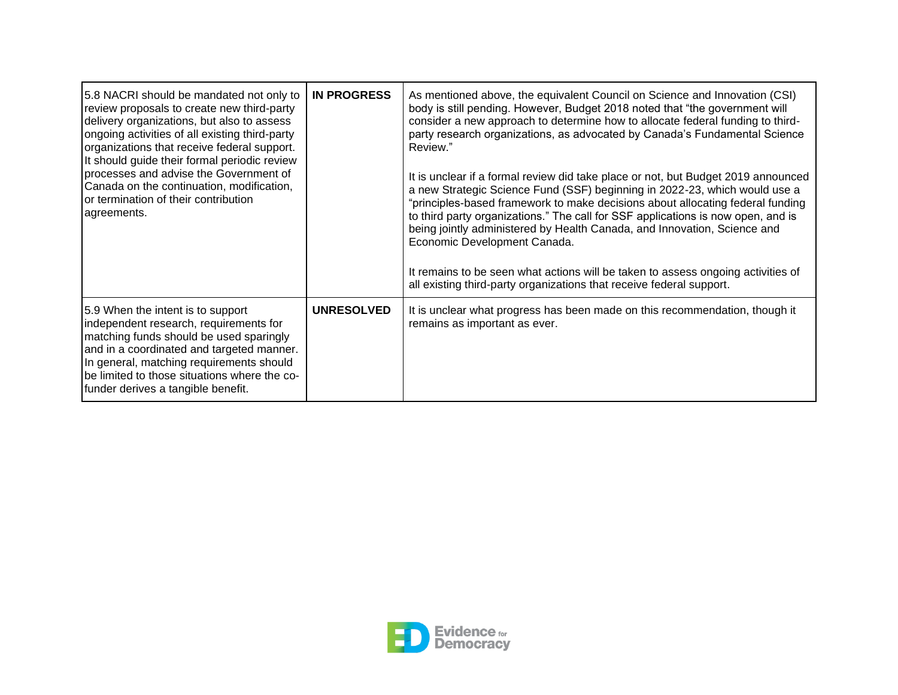| 5.8 NACRI should be mandated not only to<br>review proposals to create new third-party<br>delivery organizations, but also to assess<br>ongoing activities of all existing third-party<br>organizations that receive federal support.<br>It should guide their formal periodic review<br>processes and advise the Government of<br>Canada on the continuation, modification,<br>or termination of their contribution<br>agreements. | <b>IN PROGRESS</b> | As mentioned above, the equivalent Council on Science and Innovation (CSI)<br>body is still pending. However, Budget 2018 noted that "the government will<br>consider a new approach to determine how to allocate federal funding to third-<br>party research organizations, as advocated by Canada's Fundamental Science<br>Review."<br>It is unclear if a formal review did take place or not, but Budget 2019 announced<br>a new Strategic Science Fund (SSF) beginning in 2022-23, which would use a<br>"principles-based framework to make decisions about allocating federal funding<br>to third party organizations." The call for SSF applications is now open, and is<br>being jointly administered by Health Canada, and Innovation, Science and<br>Economic Development Canada.<br>It remains to be seen what actions will be taken to assess ongoing activities of<br>all existing third-party organizations that receive federal support. |
|-------------------------------------------------------------------------------------------------------------------------------------------------------------------------------------------------------------------------------------------------------------------------------------------------------------------------------------------------------------------------------------------------------------------------------------|--------------------|--------------------------------------------------------------------------------------------------------------------------------------------------------------------------------------------------------------------------------------------------------------------------------------------------------------------------------------------------------------------------------------------------------------------------------------------------------------------------------------------------------------------------------------------------------------------------------------------------------------------------------------------------------------------------------------------------------------------------------------------------------------------------------------------------------------------------------------------------------------------------------------------------------------------------------------------------------|
| 5.9 When the intent is to support<br>independent research, requirements for<br>matching funds should be used sparingly<br>and in a coordinated and targeted manner.<br>In general, matching requirements should<br>be limited to those situations where the co-<br>funder derives a tangible benefit.                                                                                                                               | <b>UNRESOLVED</b>  | It is unclear what progress has been made on this recommendation, though it<br>remains as important as ever.                                                                                                                                                                                                                                                                                                                                                                                                                                                                                                                                                                                                                                                                                                                                                                                                                                           |

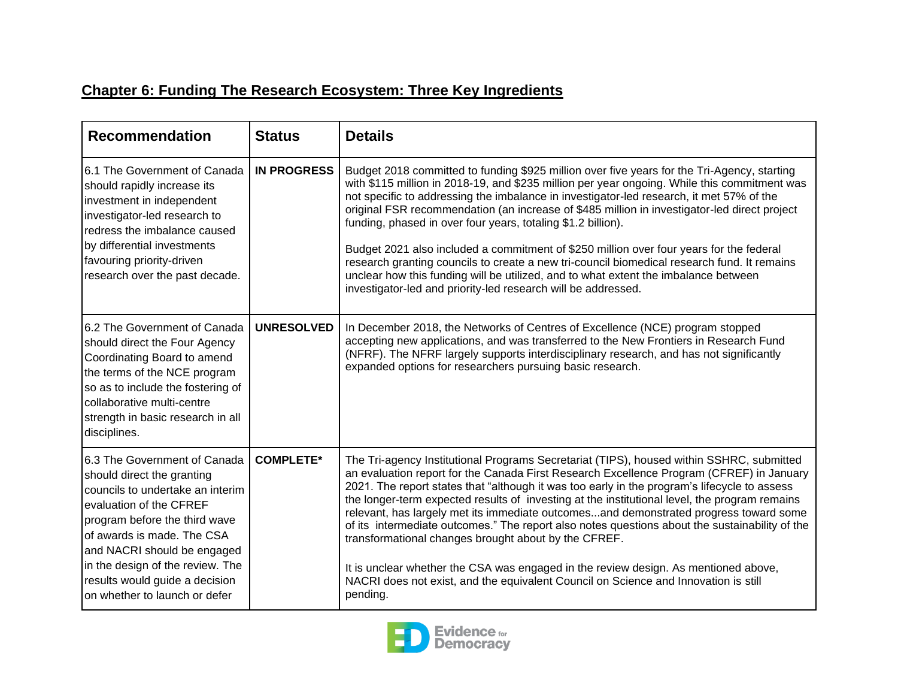## **Chapter 6: Funding The Research Ecosystem: Three Key Ingredients**

| <b>Recommendation</b>                                                                                                                                                                                                                                                                                                          | <b>Status</b>      | <b>Details</b>                                                                                                                                                                                                                                                                                                                                                                                                                                                                                                                                                                                                                                                                                                                                                                                                                     |
|--------------------------------------------------------------------------------------------------------------------------------------------------------------------------------------------------------------------------------------------------------------------------------------------------------------------------------|--------------------|------------------------------------------------------------------------------------------------------------------------------------------------------------------------------------------------------------------------------------------------------------------------------------------------------------------------------------------------------------------------------------------------------------------------------------------------------------------------------------------------------------------------------------------------------------------------------------------------------------------------------------------------------------------------------------------------------------------------------------------------------------------------------------------------------------------------------------|
| 6.1 The Government of Canada<br>should rapidly increase its<br>investment in independent<br>investigator-led research to<br>redress the imbalance caused<br>by differential investments<br>favouring priority-driven<br>research over the past decade.                                                                         | <b>IN PROGRESS</b> | Budget 2018 committed to funding \$925 million over five years for the Tri-Agency, starting<br>with \$115 million in 2018-19, and \$235 million per year ongoing. While this commitment was<br>not specific to addressing the imbalance in investigator-led research, it met 57% of the<br>original FSR recommendation (an increase of \$485 million in investigator-led direct project<br>funding, phased in over four years, totaling \$1.2 billion).<br>Budget 2021 also included a commitment of \$250 million over four years for the federal<br>research granting councils to create a new tri-council biomedical research fund. It remains<br>unclear how this funding will be utilized, and to what extent the imbalance between<br>investigator-led and priority-led research will be addressed.                          |
| 6.2 The Government of Canada<br>should direct the Four Agency<br>Coordinating Board to amend<br>the terms of the NCE program<br>so as to include the fostering of<br>collaborative multi-centre<br>strength in basic research in all<br>disciplines.                                                                           | <b>UNRESOLVED</b>  | In December 2018, the Networks of Centres of Excellence (NCE) program stopped<br>accepting new applications, and was transferred to the New Frontiers in Research Fund<br>(NFRF). The NFRF largely supports interdisciplinary research, and has not significantly<br>expanded options for researchers pursuing basic research.                                                                                                                                                                                                                                                                                                                                                                                                                                                                                                     |
| 6.3 The Government of Canada<br>should direct the granting<br>councils to undertake an interim<br>evaluation of the CFREF<br>program before the third wave<br>of awards is made. The CSA<br>and NACRI should be engaged<br>in the design of the review. The<br>results would guide a decision<br>on whether to launch or defer | <b>COMPLETE*</b>   | The Tri-agency Institutional Programs Secretariat (TIPS), housed within SSHRC, submitted<br>an evaluation report for the Canada First Research Excellence Program (CFREF) in January<br>2021. The report states that "although it was too early in the program's lifecycle to assess<br>the longer-term expected results of investing at the institutional level, the program remains<br>relevant, has largely met its immediate outcomesand demonstrated progress toward some<br>of its intermediate outcomes." The report also notes questions about the sustainability of the<br>transformational changes brought about by the CFREF.<br>It is unclear whether the CSA was engaged in the review design. As mentioned above,<br>NACRI does not exist, and the equivalent Council on Science and Innovation is still<br>pending. |

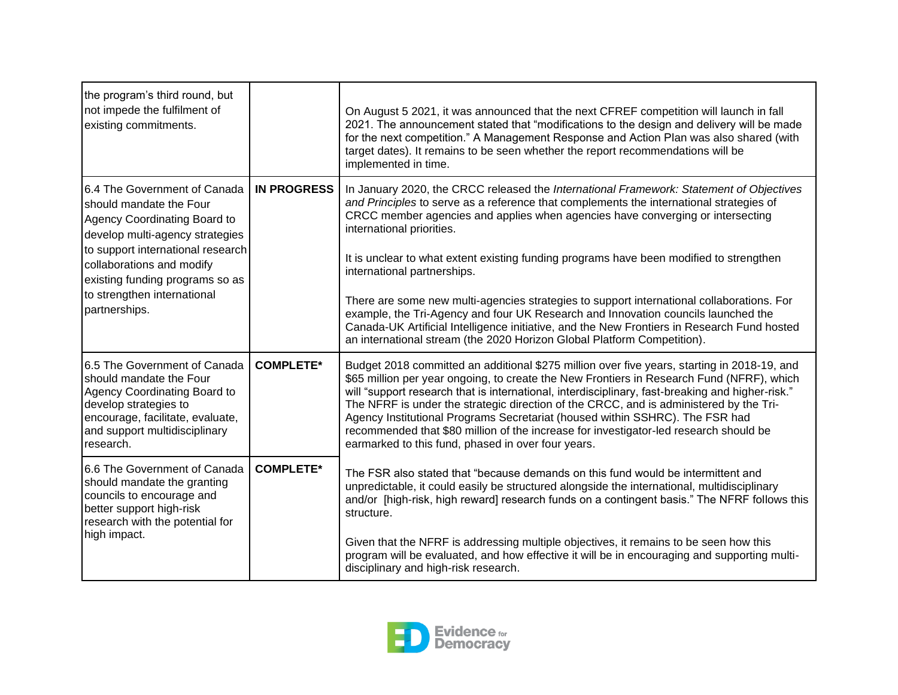| the program's third round, but<br>not impede the fulfilment of<br>existing commitments.                                                                                                                                                                                         |                    | On August 5 2021, it was announced that the next CFREF competition will launch in fall<br>2021. The announcement stated that "modifications to the design and delivery will be made<br>for the next competition." A Management Response and Action Plan was also shared (with<br>target dates). It remains to be seen whether the report recommendations will be<br>implemented in time.                                                                                                                                                                                                                                                                                                                                                                                                |
|---------------------------------------------------------------------------------------------------------------------------------------------------------------------------------------------------------------------------------------------------------------------------------|--------------------|-----------------------------------------------------------------------------------------------------------------------------------------------------------------------------------------------------------------------------------------------------------------------------------------------------------------------------------------------------------------------------------------------------------------------------------------------------------------------------------------------------------------------------------------------------------------------------------------------------------------------------------------------------------------------------------------------------------------------------------------------------------------------------------------|
| 6.4 The Government of Canada<br>should mandate the Four<br>Agency Coordinating Board to<br>develop multi-agency strategies<br>to support international research<br>collaborations and modify<br>existing funding programs so as<br>to strengthen international<br>partnerships. | <b>IN PROGRESS</b> | In January 2020, the CRCC released the International Framework: Statement of Objectives<br>and Principles to serve as a reference that complements the international strategies of<br>CRCC member agencies and applies when agencies have converging or intersecting<br>international priorities.<br>It is unclear to what extent existing funding programs have been modified to strengthen<br>international partnerships.<br>There are some new multi-agencies strategies to support international collaborations. For<br>example, the Tri-Agency and four UK Research and Innovation councils launched the<br>Canada-UK Artificial Intelligence initiative, and the New Frontiers in Research Fund hosted<br>an international stream (the 2020 Horizon Global Platform Competition). |
| 6.5 The Government of Canada<br>should mandate the Four<br>Agency Coordinating Board to<br>develop strategies to<br>encourage, facilitate, evaluate,<br>and support multidisciplinary<br>research.                                                                              | <b>COMPLETE*</b>   | Budget 2018 committed an additional \$275 million over five years, starting in 2018-19, and<br>\$65 million per year ongoing, to create the New Frontiers in Research Fund (NFRF), which<br>will "support research that is international, interdisciplinary, fast-breaking and higher-risk."<br>The NFRF is under the strategic direction of the CRCC, and is administered by the Tri-<br>Agency Institutional Programs Secretariat (housed within SSHRC). The FSR had<br>recommended that \$80 million of the increase for investigator-led research should be<br>earmarked to this fund, phased in over four years.                                                                                                                                                                   |
| 6.6 The Government of Canada<br>should mandate the granting<br>councils to encourage and<br>better support high-risk<br>research with the potential for<br>high impact.                                                                                                         | <b>COMPLETE*</b>   | The FSR also stated that "because demands on this fund would be intermittent and<br>unpredictable, it could easily be structured alongside the international, multidisciplinary<br>and/or [high-risk, high reward] research funds on a contingent basis." The NFRF follows this<br>structure.<br>Given that the NFRF is addressing multiple objectives, it remains to be seen how this<br>program will be evaluated, and how effective it will be in encouraging and supporting multi-<br>disciplinary and high-risk research.                                                                                                                                                                                                                                                          |

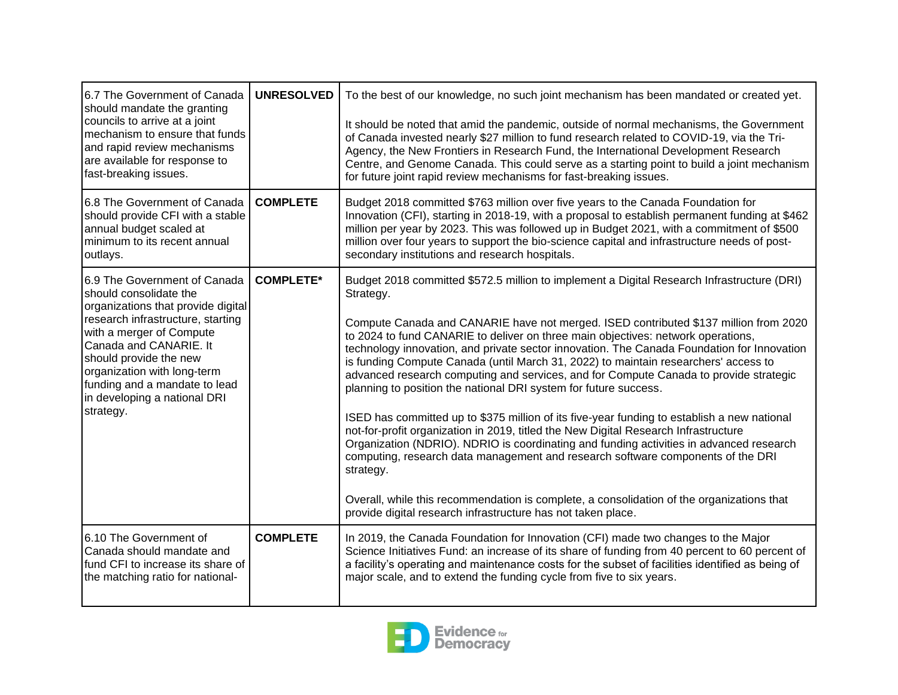| 6.7 The Government of Canada<br>should mandate the granting                                                                                                                                                       | <b>UNRESOLVED</b> | To the best of our knowledge, no such joint mechanism has been mandated or created yet.                                                                                                                                                                                                                                                                                                                                                                                                                                    |
|-------------------------------------------------------------------------------------------------------------------------------------------------------------------------------------------------------------------|-------------------|----------------------------------------------------------------------------------------------------------------------------------------------------------------------------------------------------------------------------------------------------------------------------------------------------------------------------------------------------------------------------------------------------------------------------------------------------------------------------------------------------------------------------|
| councils to arrive at a joint<br>mechanism to ensure that funds<br>and rapid review mechanisms<br>are available for response to<br>fast-breaking issues.                                                          |                   | It should be noted that amid the pandemic, outside of normal mechanisms, the Government<br>of Canada invested nearly \$27 million to fund research related to COVID-19, via the Tri-<br>Agency, the New Frontiers in Research Fund, the International Development Research<br>Centre, and Genome Canada. This could serve as a starting point to build a joint mechanism<br>for future joint rapid review mechanisms for fast-breaking issues.                                                                             |
| 6.8 The Government of Canada<br>should provide CFI with a stable<br>annual budget scaled at<br>minimum to its recent annual<br>outlays.                                                                           | <b>COMPLETE</b>   | Budget 2018 committed \$763 million over five years to the Canada Foundation for<br>Innovation (CFI), starting in 2018-19, with a proposal to establish permanent funding at \$462<br>million per year by 2023. This was followed up in Budget 2021, with a commitment of \$500<br>million over four years to support the bio-science capital and infrastructure needs of post-<br>secondary institutions and research hospitals.                                                                                          |
| 6.9 The Government of Canada<br>should consolidate the<br>organizations that provide digital                                                                                                                      | <b>COMPLETE*</b>  | Budget 2018 committed \$572.5 million to implement a Digital Research Infrastructure (DRI)<br>Strategy.                                                                                                                                                                                                                                                                                                                                                                                                                    |
| research infrastructure, starting<br>with a merger of Compute<br>Canada and CANARIE. It<br>should provide the new<br>organization with long-term<br>funding and a mandate to lead<br>in developing a national DRI |                   | Compute Canada and CANARIE have not merged. ISED contributed \$137 million from 2020<br>to 2024 to fund CANARIE to deliver on three main objectives: network operations,<br>technology innovation, and private sector innovation. The Canada Foundation for Innovation<br>is funding Compute Canada (until March 31, 2022) to maintain researchers' access to<br>advanced research computing and services, and for Compute Canada to provide strategic<br>planning to position the national DRI system for future success. |
| strategy.                                                                                                                                                                                                         |                   | ISED has committed up to \$375 million of its five-year funding to establish a new national<br>not-for-profit organization in 2019, titled the New Digital Research Infrastructure<br>Organization (NDRIO). NDRIO is coordinating and funding activities in advanced research<br>computing, research data management and research software components of the DRI<br>strategy.                                                                                                                                              |
|                                                                                                                                                                                                                   |                   | Overall, while this recommendation is complete, a consolidation of the organizations that<br>provide digital research infrastructure has not taken place.                                                                                                                                                                                                                                                                                                                                                                  |
| 6.10 The Government of<br>Canada should mandate and<br>fund CFI to increase its share of<br>the matching ratio for national-                                                                                      | <b>COMPLETE</b>   | In 2019, the Canada Foundation for Innovation (CFI) made two changes to the Major<br>Science Initiatives Fund: an increase of its share of funding from 40 percent to 60 percent of<br>a facility's operating and maintenance costs for the subset of facilities identified as being of<br>major scale, and to extend the funding cycle from five to six years.                                                                                                                                                            |

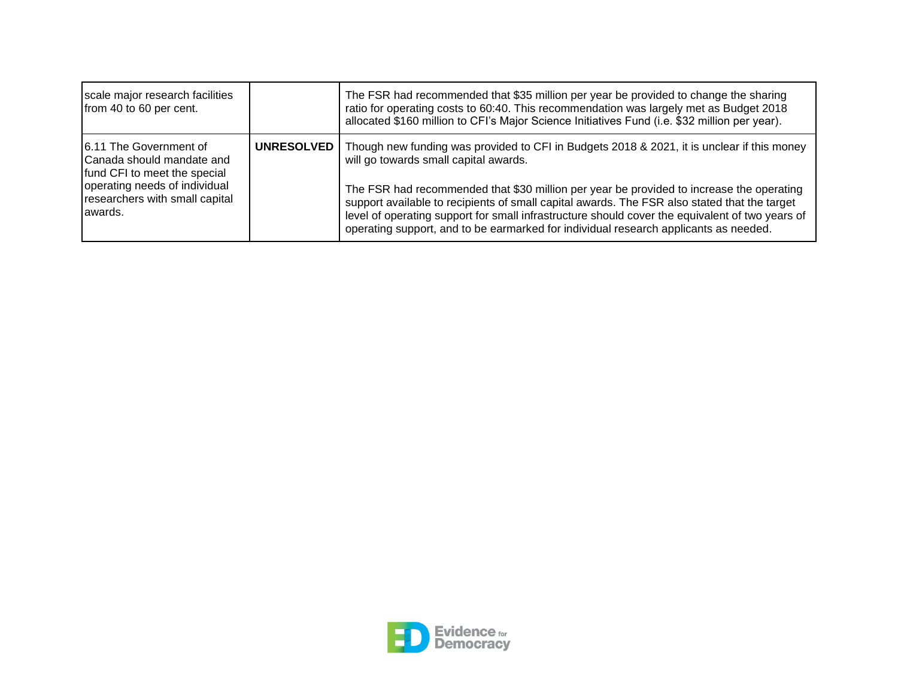| scale major research facilities<br>from 40 to 60 per cent.                                                                                                         |                   | The FSR had recommended that \$35 million per year be provided to change the sharing<br>ratio for operating costs to 60:40. This recommendation was largely met as Budget 2018<br>allocated \$160 million to CFI's Major Science Initiatives Fund (i.e. \$32 million per year).                                                                                                                                                                                                                                            |
|--------------------------------------------------------------------------------------------------------------------------------------------------------------------|-------------------|----------------------------------------------------------------------------------------------------------------------------------------------------------------------------------------------------------------------------------------------------------------------------------------------------------------------------------------------------------------------------------------------------------------------------------------------------------------------------------------------------------------------------|
| 16.11 The Government of<br>Canada should mandate and<br>fund CFI to meet the special<br>operating needs of individual<br>researchers with small capital<br>awards. | <b>UNRESOLVED</b> | Though new funding was provided to CFI in Budgets 2018 & 2021, it is unclear if this money<br>will go towards small capital awards.<br>The FSR had recommended that \$30 million per year be provided to increase the operating<br>support available to recipients of small capital awards. The FSR also stated that the target<br>level of operating support for small infrastructure should cover the equivalent of two years of<br>operating support, and to be earmarked for individual research applicants as needed. |

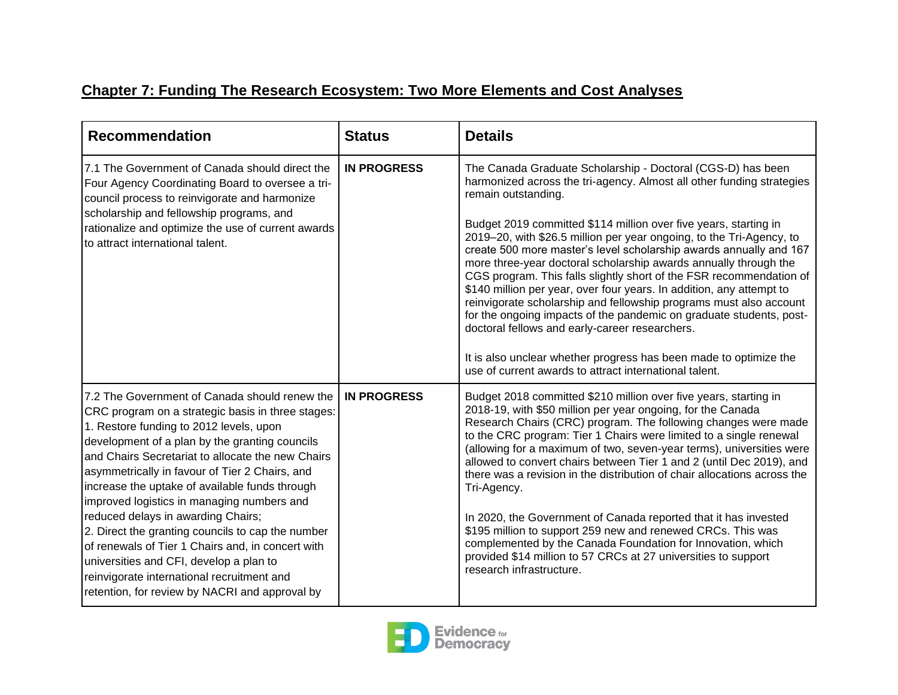## **Chapter 7: Funding The Research Ecosystem: Two More Elements and Cost Analyses**

| <b>Recommendation</b>                                                                                                                                                                                                                                                                                                                                                                                                                                                                                                                                                                                                                                                                             | <b>Status</b>      | <b>Details</b>                                                                                                                                                                                                                                                                                                                                                                                                                                                                                                                                                                                                                                                                                                                                                                                                                                                                                                                 |
|---------------------------------------------------------------------------------------------------------------------------------------------------------------------------------------------------------------------------------------------------------------------------------------------------------------------------------------------------------------------------------------------------------------------------------------------------------------------------------------------------------------------------------------------------------------------------------------------------------------------------------------------------------------------------------------------------|--------------------|--------------------------------------------------------------------------------------------------------------------------------------------------------------------------------------------------------------------------------------------------------------------------------------------------------------------------------------------------------------------------------------------------------------------------------------------------------------------------------------------------------------------------------------------------------------------------------------------------------------------------------------------------------------------------------------------------------------------------------------------------------------------------------------------------------------------------------------------------------------------------------------------------------------------------------|
| 7.1 The Government of Canada should direct the<br>Four Agency Coordinating Board to oversee a tri-<br>council process to reinvigorate and harmonize<br>scholarship and fellowship programs, and<br>rationalize and optimize the use of current awards<br>to attract international talent.                                                                                                                                                                                                                                                                                                                                                                                                         | <b>IN PROGRESS</b> | The Canada Graduate Scholarship - Doctoral (CGS-D) has been<br>harmonized across the tri-agency. Almost all other funding strategies<br>remain outstanding.<br>Budget 2019 committed \$114 million over five years, starting in<br>2019–20, with \$26.5 million per year ongoing, to the Tri-Agency, to<br>create 500 more master's level scholarship awards annually and 167<br>more three-year doctoral scholarship awards annually through the<br>CGS program. This falls slightly short of the FSR recommendation of<br>\$140 million per year, over four years. In addition, any attempt to<br>reinvigorate scholarship and fellowship programs must also account<br>for the ongoing impacts of the pandemic on graduate students, post-<br>doctoral fellows and early-career researchers.<br>It is also unclear whether progress has been made to optimize the<br>use of current awards to attract international talent. |
| 7.2 The Government of Canada should renew the<br>CRC program on a strategic basis in three stages:<br>1. Restore funding to 2012 levels, upon<br>development of a plan by the granting councils<br>and Chairs Secretariat to allocate the new Chairs<br>asymmetrically in favour of Tier 2 Chairs, and<br>increase the uptake of available funds through<br>improved logistics in managing numbers and<br>reduced delays in awarding Chairs;<br>2. Direct the granting councils to cap the number<br>of renewals of Tier 1 Chairs and, in concert with<br>universities and CFI, develop a plan to<br>reinvigorate international recruitment and<br>retention, for review by NACRI and approval by | <b>IN PROGRESS</b> | Budget 2018 committed \$210 million over five years, starting in<br>2018-19, with \$50 million per year ongoing, for the Canada<br>Research Chairs (CRC) program. The following changes were made<br>to the CRC program: Tier 1 Chairs were limited to a single renewal<br>(allowing for a maximum of two, seven-year terms), universities were<br>allowed to convert chairs between Tier 1 and 2 (until Dec 2019), and<br>there was a revision in the distribution of chair allocations across the<br>Tri-Agency.<br>In 2020, the Government of Canada reported that it has invested<br>\$195 million to support 259 new and renewed CRCs. This was<br>complemented by the Canada Foundation for Innovation, which<br>provided \$14 million to 57 CRCs at 27 universities to support<br>research infrastructure.                                                                                                              |